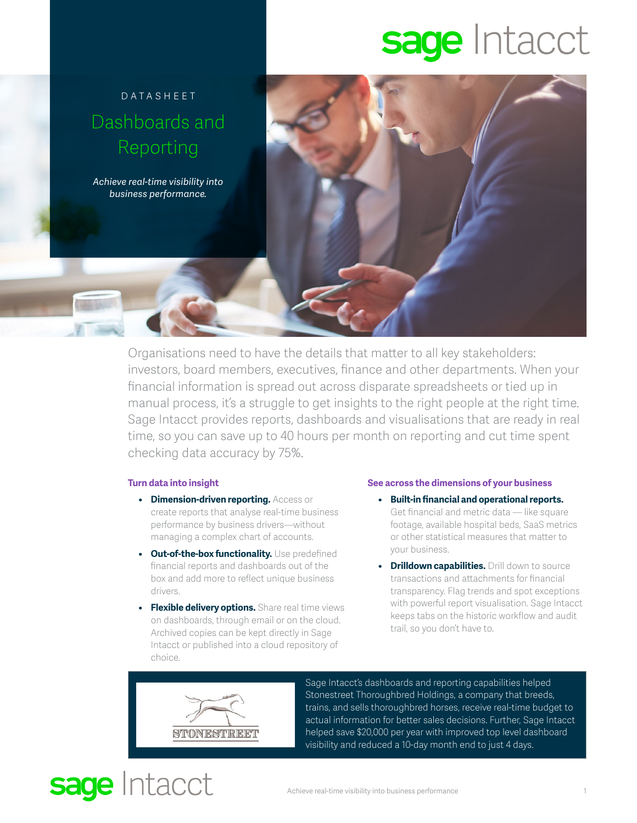# sage Intacct



Organisations need to have the details that matter to all key stakeholders: investors, board members, executives, finance and other departments. When your financial information is spread out across disparate spreadsheets or tied up in manual process, it's a struggle to get insights to the right people at the right time. Sage Intacct provides reports, dashboards and visualisations that are ready in real time, so you can save up to 40 hours per month on reporting and cut time spent checking data accuracy by 75%.

### **Turn data into insight**

- **• Dimension-driven reporting.** Access or create reports that analyse real-time business performance by business drivers—without managing a complex chart of accounts.
- **• Out-of-the-box functionality.** Use predefined financial reports and dashboards out of the box and add more to reflect unique business drivers.
- **• Flexible delivery options.** Share real time views on dashboards, through email or on the cloud. Archived copies can be kept directly in Sage Intacct or published into a cloud repository of choice.

### **See across the dimensions of your business**

- **• Built-in financial and operational reports.** Get financial and metric data — like square footage, available hospital beds, SaaS metrics or other statistical measures that matter to your business.
- **• Drilldown capabilities.** Drill down to source transactions and attachments for financial transparency. Flag trends and spot exceptions with powerful report visualisation. Sage Intacct keeps tabs on the historic workflow and audit trail, so you don't have to.



sage Intacct

Sage Intacct's dashboards and reporting capabilities helped Stonestreet Thoroughbred Holdings, a company that breeds, trains, and sells thoroughbred horses, receive real-time budget to actual information for better sales decisions. Further, Sage Intacct helped save \$20,000 per year with improved top level dashboard visibility and reduced a 10-day month end to just 4 days.